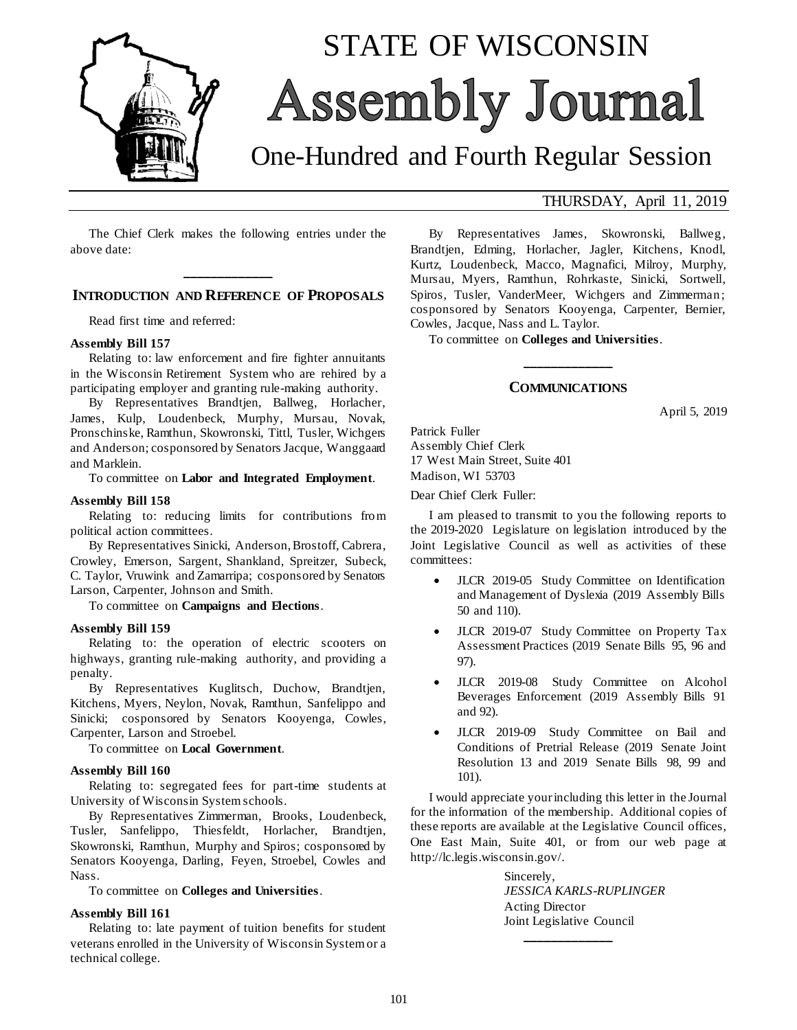

# STATE OF WISCONSIN Assembly Journal

# One-Hundred and Fourth Regular Session

The Chief Clerk makes the following entries under the above date:

### **\_\_\_\_\_\_\_\_\_\_\_\_\_ INTRODUCTION AND REFERENCE OF PROPOSALS**

Read first time and referred:

#### **Assembly Bill 157**

Relating to: law enforcement and fire fighter annuitants in the Wisconsin Retirement System who are rehired by a participating employer and granting rule-making authority.

By Representatives Brandtjen, Ballweg, Horlacher, James, Kulp, Loudenbeck, Murphy, Mursau, Novak, Pronschinske, Ramthun, Skowronski, Tittl, Tusler, Wichgers and Anderson; cosponsored by Senators Jacque, Wanggaard and Marklein.

To committee on **Labor and Integrated Employment**.

#### **Assembly Bill 158**

Relating to: reducing limits for contributions from political action committees.

By Representatives Sinicki, Anderson, Brostoff, Cabrera, Crowley, Emerson, Sargent, Shankland, Spreitzer, Subeck, C. Taylor, Vruwink and Zamarripa; cosponsored by Senators Larson, Carpenter, Johnson and Smith.

To committee on **Campaigns and Elections**.

#### **Assembly Bill 159**

Relating to: the operation of electric scooters on highways, granting rule-making authority, and providing a penalty.

By Representatives Kuglitsch, Duchow, Brandtjen, Kitchens, Myers, Neylon, Novak, Ramthun, Sanfelippo and Sinicki; cosponsored by Senators Kooyenga, Cowles, Carpenter, Larson and Stroebel.

To committee on **Local Government**.

#### **Assembly Bill 160**

Relating to: segregated fees for part-time students at University of Wisconsin System schools.

By Representatives Zimmerman, Brooks, Loudenbeck, Tusler, Sanfelippo, Thiesfeldt, Horlacher, Brandtjen, Skowronski, Ramthun, Murphy and Spiros; cosponsored by Senators Kooyenga, Darling, Feyen, Stroebel, Cowles and Nass.

To committee on **Colleges and Universities**.

#### **Assembly Bill 161**

Relating to: late payment of tuition benefits for student veterans enrolled in the University of Wisconsin System or a technical college.

#### THURSDAY, April 11, 2019

By Representatives James, Skowronski, Ballweg, Brandtjen, Edming, Horlacher, Jagler, Kitchens, Knodl, Kurtz, Loudenbeck, Macco, Magnafici, Milroy, Murphy, Mursau, Myers, Ramthun, Rohrkaste, Sinicki, Sortwell, Spiros, Tusler, VanderMeer, Wichgers and Zimmerman; cosponsored by Senators Kooyenga, Carpenter, Bernier, Cowles, Jacque, Nass and L. Taylor.

To committee on **Colleges and Universities**.

## **\_\_\_\_\_\_\_\_\_\_\_\_\_ COMMUNICATIONS**

April 5, 2019

Patrick Fuller Assembly Chief Clerk 17 West Main Street, Suite 401 Madison, WI 53703

Dear Chief Clerk Fuller:

I am pleased to transmit to you the following reports to the 2019-2020 Legislature on legislation introduced by the Joint Legislative Council as well as activities of these committees:

- JLCR 2019-05 Study Committee on Identification and Management of Dyslexia (2019 Assembly Bills 50 and 110).
- JLCR 2019-07 Study Committee on Property Tax Assessment Practices (2019 Senate Bills 95, 96 and 97).
- JLCR 2019-08 Study Committee on Alcohol Beverages Enforcement (2019 Assembly Bills 91 and 92).
- JLCR 2019-09 Study Committee on Bail and Conditions of Pretrial Release (2019 Senate Joint Resolution 13 and 2019 Senate Bills 98, 99 and 101).

I would appreciate your including this letter in the Journal for the information of the membership. Additional copies of these reports are available at the Legislative Council offices, One East Main, Suite 401, or from our web page at http://lc.legis.wisconsin.gov/.

> Sincerely, *JESSICA KARLS-RUPLINGER* Acting Director Joint Legislative Council

> > **\_\_\_\_\_\_\_\_\_\_\_\_\_**